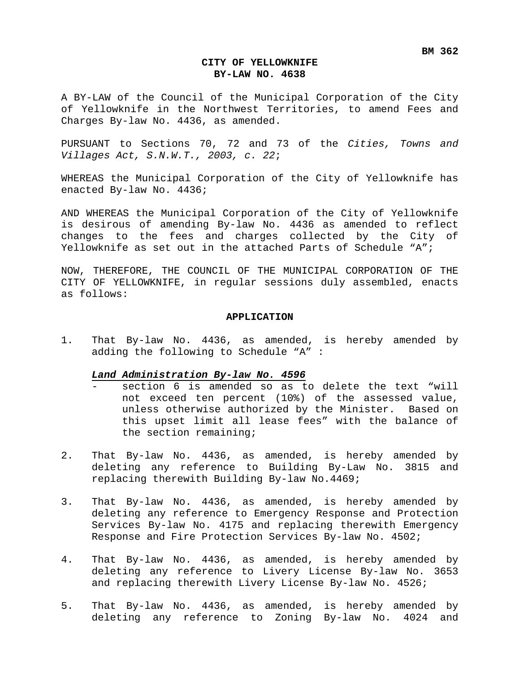### **CITY OF YELLOWKNIFE BY-LAW NO. 4638**

A BY-LAW of the Council of the Municipal Corporation of the City of Yellowknife in the Northwest Territories, to amend Fees and Charges By-law No. 4436, as amended.

PURSUANT to Sections 70, 72 and 73 of the *Cities, Towns and Villages Act, S.N.W.T., 2003, c. 22*;

WHEREAS the Municipal Corporation of the City of Yellowknife has enacted By-law No. 4436;

AND WHEREAS the Municipal Corporation of the City of Yellowknife is desirous of amending By-law No. 4436 as amended to reflect changes to the fees and charges collected by the City of Yellowknife as set out in the attached Parts of Schedule "A";

NOW, THEREFORE, THE COUNCIL OF THE MUNICIPAL CORPORATION OF THE CITY OF YELLOWKNIFE, in regular sessions duly assembled, enacts as follows:

#### **APPLICATION**

1. That By-law No. 4436, as amended, is hereby amended by adding the following to Schedule "A" :

#### *Land Administration By-law No. 4596*

- section 6 is amended so as to delete the text "will not exceed ten percent (10%) of the assessed value, unless otherwise authorized by the Minister. Based on this upset limit all lease fees" with the balance of the section remaining;
- 2. That By-law No. 4436, as amended, is hereby amended by deleting any reference to Building By-Law No. 3815 and replacing therewith Building By-law No.4469;
- 3. That By-law No. 4436, as amended, is hereby amended by deleting any reference to Emergency Response and Protection Services By-law No. 4175 and replacing therewith Emergency Response and Fire Protection Services By-law No. 4502;
- 4. That By-law No. 4436, as amended, is hereby amended by deleting any reference to Livery License By-law No. 3653 and replacing therewith Livery License By-law No. 4526;
- 5. That By-law No. 4436, as amended, is hereby amended by deleting any reference to Zoning By-law No. 4024 and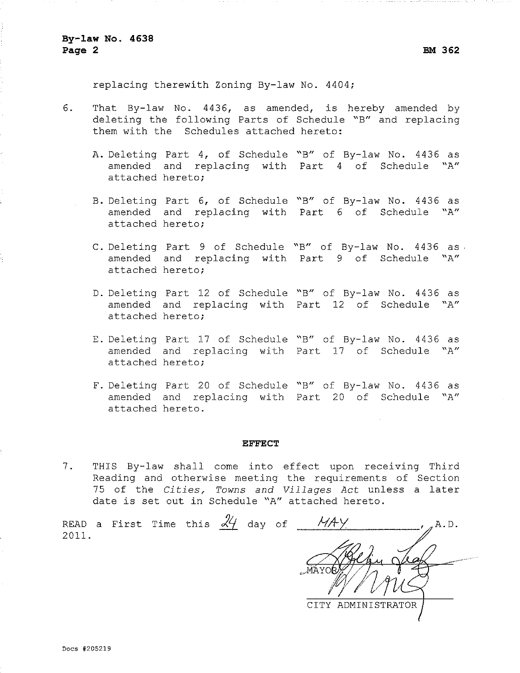**BM 362** 

replacing therewith Zoning By-law No. 4404;

- 6. That By-law No. 4436, as amended, is hereby amended by deleting the following Parts of Schedule "B" and replacing them with the Schedules attached hereto:
	- A. Deleting Part 4, of Schedule "B" of By-law No. 4436 as amended and replacing with Part 4 of Schedule "A" attached hereto;
	- B. Deleting Part 6, of Schedule "B" of By-law No. 4436 as amended and replacing with Part 6 of Schedule "A" attached hereto;
	- C. Deleting Part 9 of Schedule "B" of By-law No. 4436 as. amended and replacing with Part 9 of Schedule "A" attached hereto;
	- D. Deleting Part 12 of Schedule "B" of By-law No. 4436 as amended and replacing with Part 12 of Schedule "A" attached hereto;
	- E. Deleting Part 17 of Schedule "B" of By-law No. 4436 as amended and replacing with Part 17 of Schedule "A" attached hereto;
	- F. Deleting Part 20 of Schedule "B" of By-law No. 4436 as amended and replacing with Part 20 of Schedule "A" attached hereto.

#### **EFFECT**

7. THIS By-law shall come into effect upon receiving Third Reading and otherwise meeting the requirements of Section 75 of the Cities, Towns and Villages Act unless a later date is set out in Schedule "A" attached hereto.

READ a First Time this  $\frac{\mathcal{X}}{\mathcal{Y}}$  day of  $\frac{\mathcal{Y}}{\mathcal{Y}}$ A.D.  $2011.$ CITY ADMINISTRAT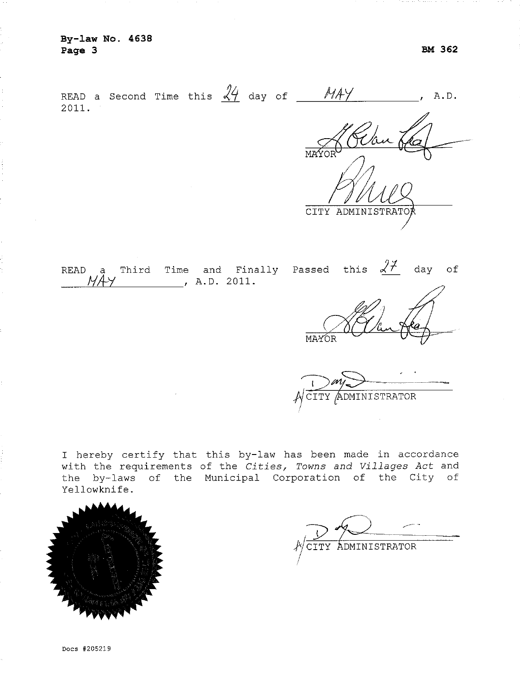READ a Second Time this  $\frac{\mathcal{X}}{\mathcal{Y}}$  day of  $\frac{\mathcal{M} \mathcal{Y}}{\mathcal{Y}}$  $\overline{A}$ . D. 2011. CITY ADMINISTRATO

READ a Third Time and Finally Passed this  $\sqrt{7}$  day of  $MAY$ , A.D. 2011.

MAYOR

CITY ADMINISTRATOR

I hereby certify that this by-law has been made in accordance with the requirements of the Cities, Towns and Villages Act and the by-laws of the Municipal Corporation of the City of Yellowknife.



ADMINISTRATOR CITY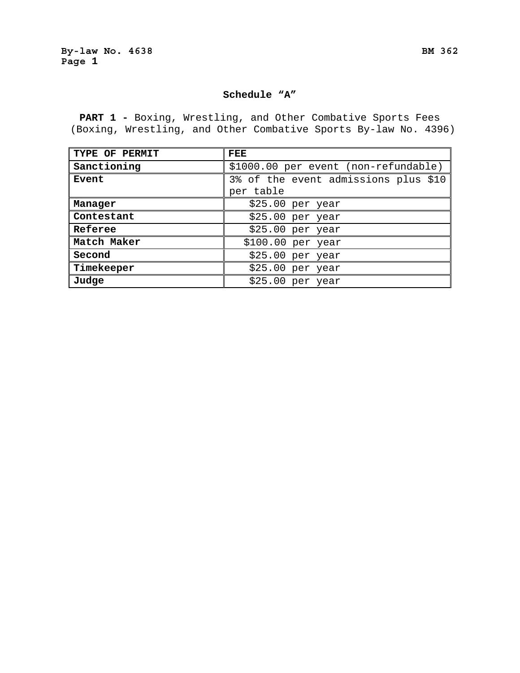#### **Schedule "A"**

**PART 1 -** Boxing, Wrestling, and Other Combative Sports Fees (Boxing, Wrestling, and Other Combative Sports By-law No. 4396)

| TYPE OF PERMIT | <b>FEE</b>                           |
|----------------|--------------------------------------|
| Sanctioning    | \$1000.00 per event (non-refundable) |
| Event          | 3% of the event admissions plus \$10 |
|                | per table                            |
| Manager        | \$25.00~per~year                     |
| Contestant     | \$25.00~per~year                     |
| Referee        | \$25.00~per~year                     |
| Match Maker    | $$100.00$ per year                   |
| Second         | \$25.00~per~year                     |
| Timekeeper     | \$25.00~per~year                     |
| Judge          | \$25.00~per~year                     |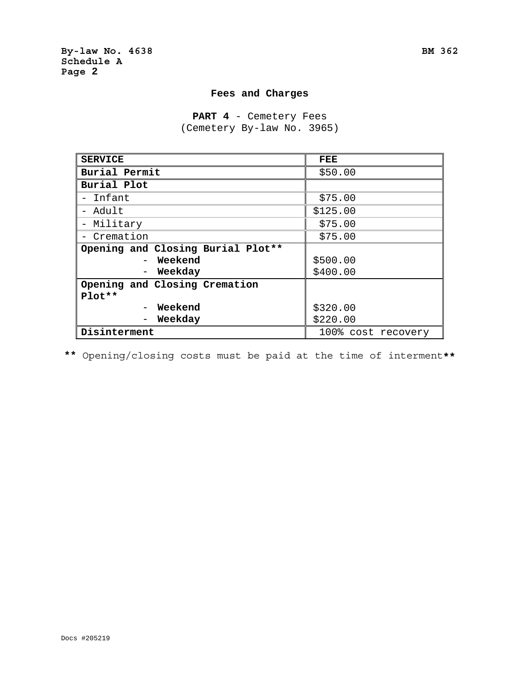### **Fees and Charges**

PART 4 - Cemetery Fees (Cemetery By-law No. 3965)

| <b>SERVICE</b>                    | FEE                |
|-----------------------------------|--------------------|
| Burial Permit                     | \$50.00            |
| Burial Plot                       |                    |
| - Infant                          | \$75.00            |
| - Adult                           | \$125.00           |
| - Military                        | \$75.00            |
| - Cremation                       | \$75.00            |
| Opening and Closing Burial Plot** |                    |
| – Weekend                         | \$500.00           |
| Weekday                           | \$400.00           |
| Opening and Closing Cremation     |                    |
| $Plot**$                          |                    |
| Weekend                           | \$320.00           |
| Weekday                           | \$220.00           |
| Disinterment                      | 100% cost recovery |

**\*\*** Opening/closing costs must be paid at the time of interment**\*\***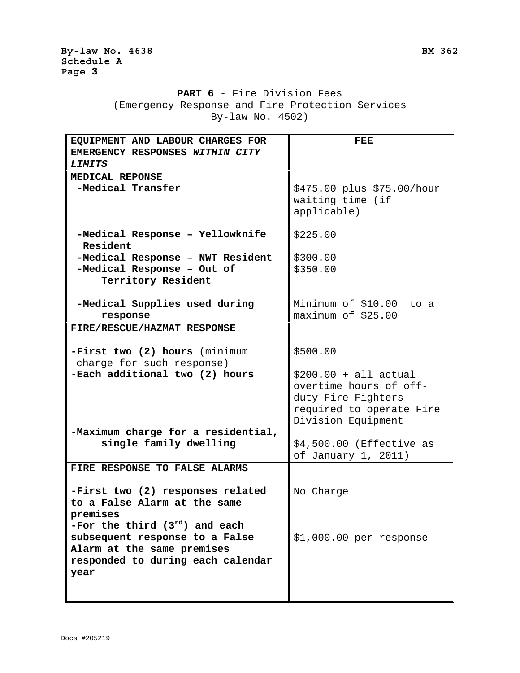### **PART 6** - Fire Division Fees

(Emergency Response and Fire Protection Services By-law No. 4502)

| EQUIPMENT AND LABOUR CHARGES FOR   | FEE                        |
|------------------------------------|----------------------------|
| EMERGENCY RESPONSES WITHIN CITY    |                            |
| <b>LIMITS</b>                      |                            |
| MEDICAL REPONSE                    |                            |
| -Medical Transfer                  | \$475.00 plus \$75.00/hour |
|                                    | waiting time (if           |
|                                    | applicable)                |
|                                    |                            |
| -Medical Response - Yellowknife    | \$225.00                   |
| Resident                           |                            |
| -Medical Response - NWT Resident   | \$300.00                   |
| -Medical Response - Out of         | \$350.00                   |
| Territory Resident                 |                            |
|                                    |                            |
| -Medical Supplies used during      | Minimum of \$10.00 to a    |
| response                           | maximum of \$25.00         |
| FIRE/RESCUE/HAZMAT RESPONSE        |                            |
|                                    |                            |
| -First two (2) hours (minimum      | \$500.00                   |
| charge for such response)          |                            |
| -Each additional two (2) hours     | $$200.00 + all actual$     |
|                                    | overtime hours of off-     |
|                                    | duty Fire Fighters         |
|                                    | required to operate Fire   |
|                                    | Division Equipment         |
| -Maximum charge for a residential, |                            |
| single family dwelling             | \$4,500.00 (Effective as   |
|                                    | of January 1, 2011)        |
| FIRE RESPONSE TO FALSE ALARMS      |                            |
|                                    |                            |
| -First two (2) responses related   | No Charge                  |
| to a False Alarm at the same       |                            |
| premises                           |                            |
| -For the third $(3^{rd})$ and each |                            |
| subsequent response to a False     | $$1,000.00$ per response   |
| Alarm at the same premises         |                            |
| responded to during each calendar  |                            |
| year                               |                            |
|                                    |                            |
|                                    |                            |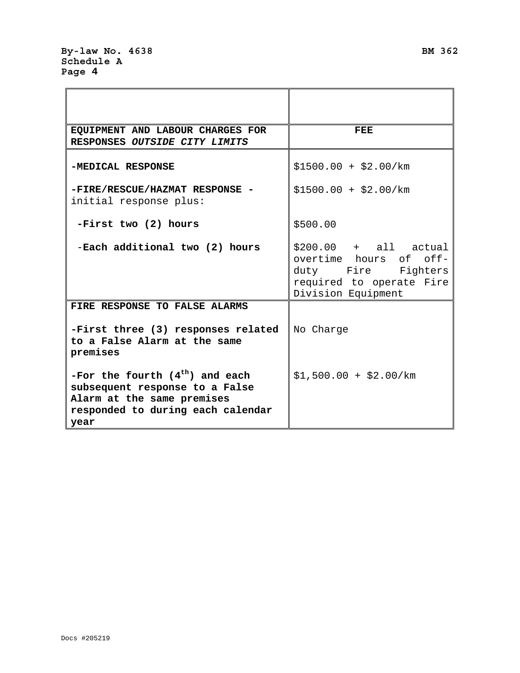| EQUIPMENT AND LABOUR CHARGES FOR<br>RESPONSES OUTSIDE CITY LIMITS                                                                             | <b>FEE</b>                                                                                                               |
|-----------------------------------------------------------------------------------------------------------------------------------------------|--------------------------------------------------------------------------------------------------------------------------|
| -MEDICAL RESPONSE                                                                                                                             | $$1500.00 + $2.00/km$                                                                                                    |
| -FIRE/RESCUE/HAZMAT RESPONSE -<br>initial response plus:                                                                                      | $$1500.00 + $2.00/km$                                                                                                    |
| -First two (2) hours                                                                                                                          | \$500.00                                                                                                                 |
| -Each additional two (2) hours                                                                                                                | $$200.00 + all actual$<br>overtime hours of off-<br>duty Fire Fighters<br>required to operate Fire<br>Division Equipment |
| FIRE RESPONSE TO FALSE ALARMS<br>-First three (3) responses related<br>to a False Alarm at the same<br>premises                               | No Charge                                                                                                                |
| -For the fourth $(4th)$ and each<br>subsequent response to a False<br>Alarm at the same premises<br>responded to during each calendar<br>year | $$1,500.00 + $2.00/km$                                                                                                   |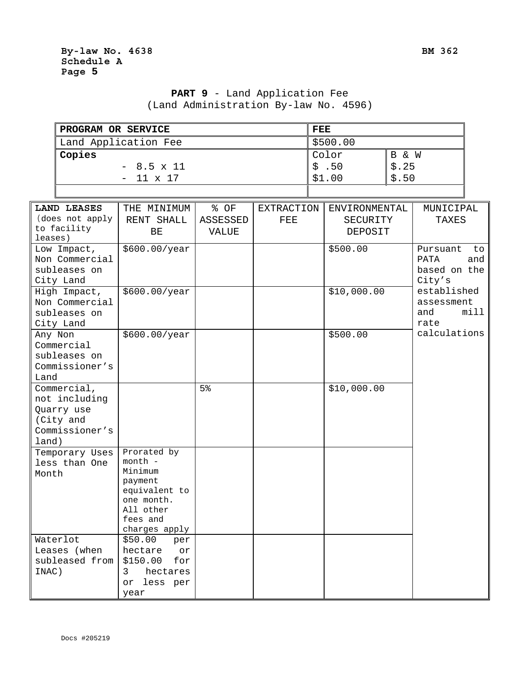|  |  |  | <b>PART 9</b> - Land Application Fee  |  |
|--|--|--|---------------------------------------|--|
|  |  |  | (Land Administration By-law No. 4596) |  |

| PROGRAM OR SERVICE   | FEE      |       |  |  |
|----------------------|----------|-------|--|--|
| Land Application Fee | \$500.00 |       |  |  |
| Copies               | Color    | B & W |  |  |
| $-8.5 \times 11$     | \$.50    | \$.25 |  |  |
| $-11 \times 17$      | \$1.00   | \$.50 |  |  |
|                      |          |       |  |  |

| <b>LAND LEASES</b><br>THE MINIMUM |          | % OF         | <b>EXTRACTION</b> | ENVIRONMENTAL | MUNICIPAL          |
|-----------------------------------|----------|--------------|-------------------|---------------|--------------------|
| (does not apply<br>RENT SHALL     |          | ASSESSED     | ${\tt FEE}$       | SECURITY      | TAXES              |
| to facility<br>BE                 |          |              |                   | DEPOSIT       |                    |
| leases)                           |          | <b>VALUE</b> |                   |               |                    |
| \$600.00/year<br>Low Impact,      |          |              |                   | \$500.00      | Pursuant<br>to.    |
| Non Commercial                    |          |              |                   |               | <b>PATA</b><br>and |
| subleases on                      |          |              |                   |               | based on the       |
| City Land                         |          |              |                   |               | City's             |
| \$600.00/year<br>High Impact,     |          |              |                   | \$10,000.00   | established        |
| Non Commercial                    |          |              |                   |               | assessment         |
| subleases on                      |          |              |                   |               | mill<br>and        |
| City Land                         |          |              |                   |               | rate               |
| \$600.00/year<br>Any Non          |          |              |                   | \$500.00      | calculations       |
| Commercial                        |          |              |                   |               |                    |
| subleases on                      |          |              |                   |               |                    |
| Commissioner's                    |          |              |                   |               |                    |
| Land                              |          |              |                   |               |                    |
| Commercial,                       |          | 5%           |                   | \$10,000.00   |                    |
| not including                     |          |              |                   |               |                    |
| Quarry use                        |          |              |                   |               |                    |
| (City and                         |          |              |                   |               |                    |
| Commissioner's                    |          |              |                   |               |                    |
| land)                             |          |              |                   |               |                    |
| Prorated by<br>Temporary Uses     |          |              |                   |               |                    |
| month -<br>less than One          |          |              |                   |               |                    |
| Minimum<br>Month                  |          |              |                   |               |                    |
| payment                           |          |              |                   |               |                    |
| equivalent to<br>one month.       |          |              |                   |               |                    |
| All other                         |          |              |                   |               |                    |
| fees and                          |          |              |                   |               |                    |
| charges apply                     |          |              |                   |               |                    |
| Waterlot<br>\$50.00               | per      |              |                   |               |                    |
| Leases (when<br>hectare           | or       |              |                   |               |                    |
| subleased from<br>\$150.00        | for      |              |                   |               |                    |
| 3<br>INAC)                        | hectares |              |                   |               |                    |
| or.                               | less per |              |                   |               |                    |
| year                              |          |              |                   |               |                    |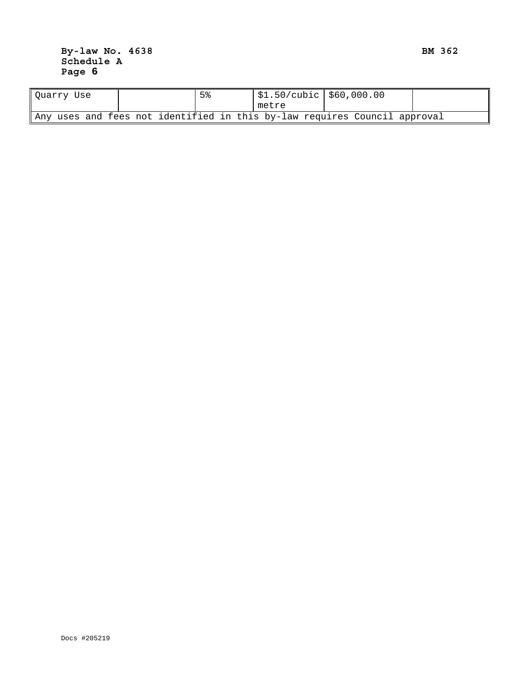| Quarry Use |  |  | 5% |  | $$1.50/cubic$ $$60,000.00$                                                |  |  |  |
|------------|--|--|----|--|---------------------------------------------------------------------------|--|--|--|
|            |  |  |    |  | metre                                                                     |  |  |  |
|            |  |  |    |  | Any uses and fees not identified in this by-law requires Council approval |  |  |  |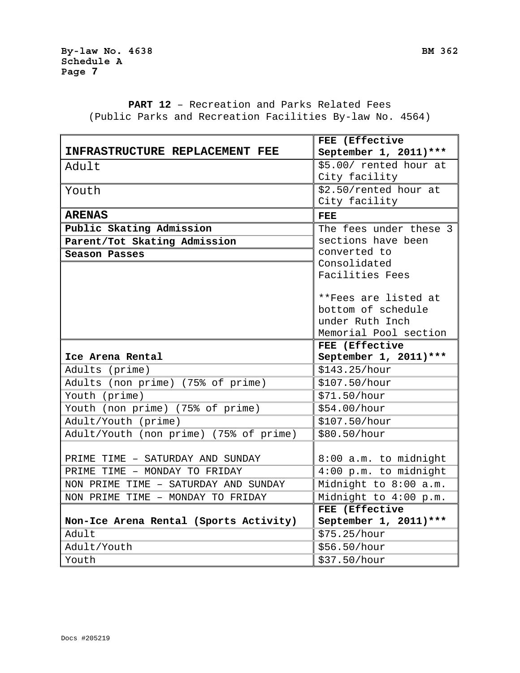**PART 12** – Recreation and Parks Related Fees (Public Parks and Recreation Facilities By-law No. 4564)

|                                        | FEE (Effective         |
|----------------------------------------|------------------------|
| <b>INFRASTRUCTURE REPLACEMENT FEE</b>  | September 1, 2011)***  |
| Adult                                  | \$5.00/ rented hour at |
|                                        | City facility          |
| Youth                                  | \$2.50/rented hour at  |
|                                        | City facility          |
| <b>ARENAS</b>                          | <b>FEE</b>             |
| Public Skating Admission               | The fees under these 3 |
| Parent/Tot Skating Admission           | sections have been     |
| Season Passes                          | converted to           |
|                                        | Consolidated           |
|                                        | Facilities Fees        |
|                                        | **Fees are listed at   |
|                                        | bottom of schedule     |
|                                        | under Ruth Inch        |
|                                        | Memorial Pool section  |
|                                        | FEE (Effective         |
| Ice Arena Rental                       | September 1, 2011)***  |
| Adults (prime)                         | \$143.25/hour          |
| Adults (non prime) (75% of prime)      | \$107.50/hour          |
| Youth (prime)                          | \$71.50/hour           |
| Youth (non prime) (75% of prime)       | \$54.00/hour           |
| Adult/Youth (prime)                    | \$107.50/hour          |
| Adult/Youth (non prime) (75% of prime) | \$80.50/hour           |
|                                        |                        |
| PRIME TIME - SATURDAY AND SUNDAY       | 8:00 a.m. to midnight  |
| PRIME TIME - MONDAY TO FRIDAY          | 4:00 p.m. to midnight  |
| NON PRIME TIME - SATURDAY AND SUNDAY   | Midnight to 8:00 a.m.  |
| NON PRIME TIME - MONDAY TO FRIDAY      | Midnight to 4:00 p.m.  |
|                                        | FEE (Effective         |
| Non-Ice Arena Rental (Sports Activity) | September 1, 2011)***  |
| Adult                                  | \$75.25/hour           |
| Adult/Youth                            | \$56.50/hour           |
| Youth                                  | \$37.50/hour           |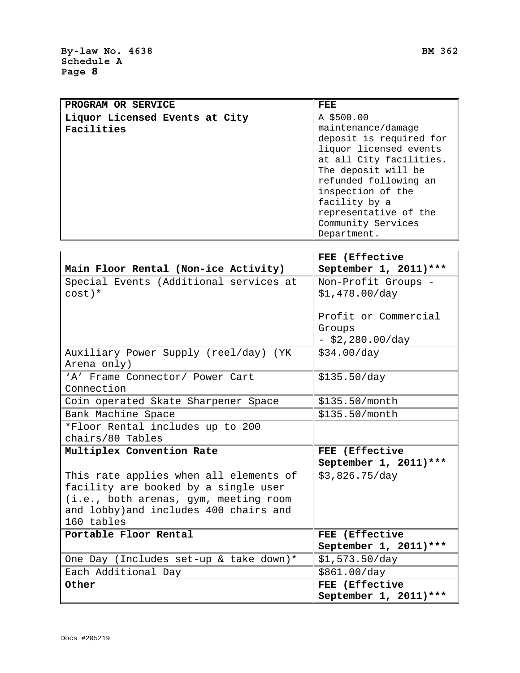| PROGRAM OR SERVICE             | FEE                     |
|--------------------------------|-------------------------|
| Liquor Licensed Events at City | A \$500.00              |
| Facilities                     | maintenance/damage      |
|                                | deposit is required for |
|                                | liquor licensed events  |
|                                | at all City facilities. |
|                                | The deposit will be     |
|                                | refunded following an   |
|                                | inspection of the       |
|                                | facility by a           |
|                                | representative of the   |
|                                | Community Services      |
|                                | Department.             |

|                                        | FEE (Effective         |
|----------------------------------------|------------------------|
| Main Floor Rental (Non-ice Activity)   | September 1, 2011) *** |
| Special Events (Additional services at | Non-Profit Groups -    |
| $cost$ )*                              | \$1,478.00/day         |
|                                        |                        |
|                                        | Profit or Commercial   |
|                                        | Groups                 |
|                                        | $-$ \$2,280.00/day     |
| Auxiliary Power Supply (reel/day) (YK  | \$34.00/day            |
| Arena only)                            |                        |
| 'A' Frame Connector/ Power Cart        | \$135.50/day           |
| Connection                             |                        |
| Coin operated Skate Sharpener Space    | \$135.50/month         |
| Bank Machine Space                     | \$135.50/month         |
| *Floor Rental includes up to 200       |                        |
| chairs/80 Tables                       |                        |
| Multiplex Convention Rate              | FEE (Effective         |
|                                        | September 1, 2011) *** |
| This rate applies when all elements of | \$3,826.75/day         |
| facility are booked by a single user   |                        |
| (i.e., both arenas, gym, meeting room  |                        |
| and lobby) and includes 400 chairs and |                        |
| 160 tables                             |                        |
| Portable Floor Rental                  | FEE (Effective         |
|                                        | September 1, 2011) *** |
| One Day (Includes set-up & take down)* | \$1,573.50/day         |
| Each Additional Day                    | \$861.00/day           |
| Other                                  | FEE (Effective         |
|                                        | September 1, 2011)***  |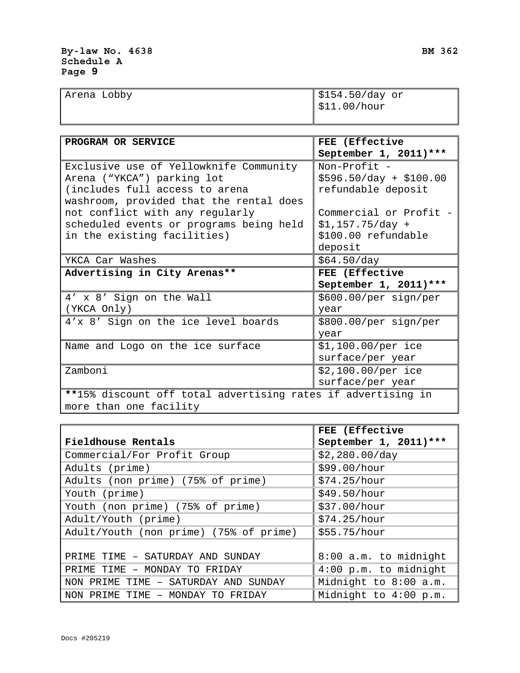| Arena Lobby | $\frac{1}{2}$ \$154.50/day or |
|-------------|-------------------------------|
|             | $\frac{1}{2}$ \$11.00/hour    |

| PROGRAM OR SERVICE                                                                     | FEE (Effective                              |
|----------------------------------------------------------------------------------------|---------------------------------------------|
|                                                                                        | September 1, 2011)***                       |
| Exclusive use of Yellowknife Community<br>Arena ("YKCA") parking lot                   | Non-Profit -<br>$$596.50/day + $100.00$     |
| (includes full access to arena<br>washroom, provided that the rental does              | refundable deposit                          |
| not conflict with any regularly<br>scheduled events or programs being held             | Commercial or Profit -<br>$$1,157.75/day +$ |
| in the existing facilities)                                                            | \$100.00 refundable<br>deposit              |
| YKCA Car Washes                                                                        | \$64.50/day                                 |
| Advertising in City Arenas**                                                           | FEE (Effective                              |
|                                                                                        | September 1, 2011) ***                      |
| 4' x 8' Sign on the Wall                                                               | \$600.00/per sign/per                       |
| (YKCA Only)                                                                            | year                                        |
| 4'x 8' Sign on the ice level boards                                                    | \$800.00/per sign/per<br>year               |
| Name and Logo on the ice surface                                                       | \$1,100.00/per ice<br>surface/per year      |
| Zamboni                                                                                | \$2,100.00/per ice<br>surface/per year      |
| **15% discount off total advertising rates if advertising in<br>more than one facility |                                             |

|                                         | FEE (Effective          |  |  |
|-----------------------------------------|-------------------------|--|--|
| Fieldhouse Rentals                      | September 1, 2011) ***  |  |  |
| Commercial/For Profit Group             | \$2,280.00/day          |  |  |
| Adults (prime)                          | \$99.00/hour            |  |  |
| Adults (non prime) (75% of prime)       | \$74.25/hour            |  |  |
| Youth (prime)                           | \$49.50/hour            |  |  |
| Youth (non prime) (75% of prime)        | \$37.00/hour            |  |  |
| Adult/Youth (prime)                     | \$74.25/hour            |  |  |
| Adult/Youth (non prime) (75% of prime)  | \$55.75/hour            |  |  |
| PRIME TIME - SATURDAY AND SUNDAY        | 8:00 a.m. to midnight   |  |  |
| PRIME TIME - MONDAY TO FRIDAY           | $4:00$ p.m. to midnight |  |  |
| NON PRIME TIME - SATURDAY AND SUNDAY    | Midnight to 8:00 a.m.   |  |  |
| NON PRIME<br>TIME - MONDAY TO<br>FRIDAY | Midnight to 4:00 p.m.   |  |  |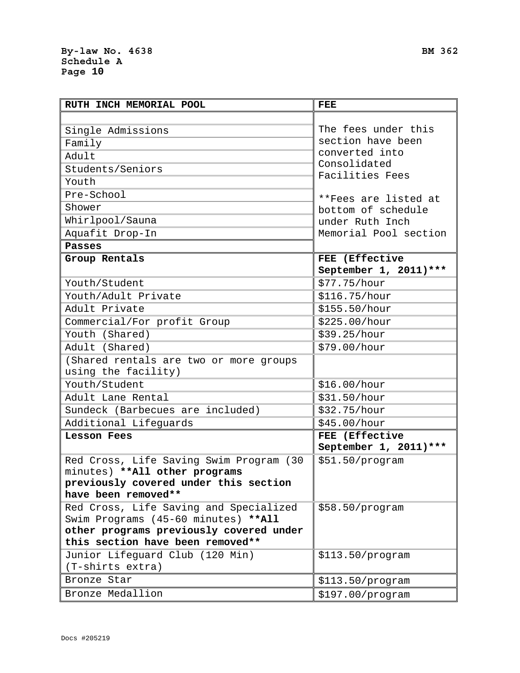| The fees under this<br>Single Admissions<br>section have been<br>Family<br>converted into<br>Adult<br>Consolidated<br>Students/Seniors<br>Facilities Fees<br>Youth<br>Pre-School<br>**Fees are listed at<br>Shower<br>bottom of schedule<br>Whirlpool/Sauna<br>under Ruth Inch<br>Memorial Pool section<br>Aquafit Drop-In<br>Passes<br>FEE (Effective<br>Group Rentals<br>September 1, 2011)***<br>Youth/Student<br>\$77.75/hour<br>Youth/Adult Private<br>\$116.75/hour<br>Adult Private<br>\$155.50/hour<br>Commercial/For profit Group<br>\$225.00/hour<br>Youth (Shared)<br>\$39.25/hour<br>Adult (Shared)<br>\$79.00/hour<br>(Shared rentals are two or more groups<br>using the facility)<br>Youth/Student<br>\$16.00/hour<br>Adult Lane Rental<br>\$31.50/hour<br>Sundeck (Barbecues are included)<br>\$32.75/hour<br>Additional Lifeguards<br>\$45.00/hour<br>FEE (Effective<br>Lesson Fees<br>September 1, 2011)***<br>Red Cross, Life Saving Swim Program (30<br>\$51.50/program<br>minutes) **All other programs<br>previously covered under this section<br>have been removed**<br>Red Cross, Life Saving and Specialized<br>\$58.50/program<br>Swim Programs (45-60 minutes) **All<br>other programs previously covered under<br>this section have been removed**<br>Junior Lifeguard Club (120 Min)<br>\$113.50/program<br>(T-shirts extra)<br>Bronze Star<br>\$113.50/program<br>Bronze Medallion<br>\$197.00/program | RUTH INCH MEMORIAL POOL | FEE |
|---------------------------------------------------------------------------------------------------------------------------------------------------------------------------------------------------------------------------------------------------------------------------------------------------------------------------------------------------------------------------------------------------------------------------------------------------------------------------------------------------------------------------------------------------------------------------------------------------------------------------------------------------------------------------------------------------------------------------------------------------------------------------------------------------------------------------------------------------------------------------------------------------------------------------------------------------------------------------------------------------------------------------------------------------------------------------------------------------------------------------------------------------------------------------------------------------------------------------------------------------------------------------------------------------------------------------------------------------------------------------------------------------------------------------------------|-------------------------|-----|
|                                                                                                                                                                                                                                                                                                                                                                                                                                                                                                                                                                                                                                                                                                                                                                                                                                                                                                                                                                                                                                                                                                                                                                                                                                                                                                                                                                                                                                       |                         |     |
|                                                                                                                                                                                                                                                                                                                                                                                                                                                                                                                                                                                                                                                                                                                                                                                                                                                                                                                                                                                                                                                                                                                                                                                                                                                                                                                                                                                                                                       |                         |     |
|                                                                                                                                                                                                                                                                                                                                                                                                                                                                                                                                                                                                                                                                                                                                                                                                                                                                                                                                                                                                                                                                                                                                                                                                                                                                                                                                                                                                                                       |                         |     |
|                                                                                                                                                                                                                                                                                                                                                                                                                                                                                                                                                                                                                                                                                                                                                                                                                                                                                                                                                                                                                                                                                                                                                                                                                                                                                                                                                                                                                                       |                         |     |
|                                                                                                                                                                                                                                                                                                                                                                                                                                                                                                                                                                                                                                                                                                                                                                                                                                                                                                                                                                                                                                                                                                                                                                                                                                                                                                                                                                                                                                       |                         |     |
|                                                                                                                                                                                                                                                                                                                                                                                                                                                                                                                                                                                                                                                                                                                                                                                                                                                                                                                                                                                                                                                                                                                                                                                                                                                                                                                                                                                                                                       |                         |     |
|                                                                                                                                                                                                                                                                                                                                                                                                                                                                                                                                                                                                                                                                                                                                                                                                                                                                                                                                                                                                                                                                                                                                                                                                                                                                                                                                                                                                                                       |                         |     |
|                                                                                                                                                                                                                                                                                                                                                                                                                                                                                                                                                                                                                                                                                                                                                                                                                                                                                                                                                                                                                                                                                                                                                                                                                                                                                                                                                                                                                                       |                         |     |
|                                                                                                                                                                                                                                                                                                                                                                                                                                                                                                                                                                                                                                                                                                                                                                                                                                                                                                                                                                                                                                                                                                                                                                                                                                                                                                                                                                                                                                       |                         |     |
|                                                                                                                                                                                                                                                                                                                                                                                                                                                                                                                                                                                                                                                                                                                                                                                                                                                                                                                                                                                                                                                                                                                                                                                                                                                                                                                                                                                                                                       |                         |     |
|                                                                                                                                                                                                                                                                                                                                                                                                                                                                                                                                                                                                                                                                                                                                                                                                                                                                                                                                                                                                                                                                                                                                                                                                                                                                                                                                                                                                                                       |                         |     |
|                                                                                                                                                                                                                                                                                                                                                                                                                                                                                                                                                                                                                                                                                                                                                                                                                                                                                                                                                                                                                                                                                                                                                                                                                                                                                                                                                                                                                                       |                         |     |
|                                                                                                                                                                                                                                                                                                                                                                                                                                                                                                                                                                                                                                                                                                                                                                                                                                                                                                                                                                                                                                                                                                                                                                                                                                                                                                                                                                                                                                       |                         |     |
|                                                                                                                                                                                                                                                                                                                                                                                                                                                                                                                                                                                                                                                                                                                                                                                                                                                                                                                                                                                                                                                                                                                                                                                                                                                                                                                                                                                                                                       |                         |     |
|                                                                                                                                                                                                                                                                                                                                                                                                                                                                                                                                                                                                                                                                                                                                                                                                                                                                                                                                                                                                                                                                                                                                                                                                                                                                                                                                                                                                                                       |                         |     |
|                                                                                                                                                                                                                                                                                                                                                                                                                                                                                                                                                                                                                                                                                                                                                                                                                                                                                                                                                                                                                                                                                                                                                                                                                                                                                                                                                                                                                                       |                         |     |
|                                                                                                                                                                                                                                                                                                                                                                                                                                                                                                                                                                                                                                                                                                                                                                                                                                                                                                                                                                                                                                                                                                                                                                                                                                                                                                                                                                                                                                       |                         |     |
|                                                                                                                                                                                                                                                                                                                                                                                                                                                                                                                                                                                                                                                                                                                                                                                                                                                                                                                                                                                                                                                                                                                                                                                                                                                                                                                                                                                                                                       |                         |     |
|                                                                                                                                                                                                                                                                                                                                                                                                                                                                                                                                                                                                                                                                                                                                                                                                                                                                                                                                                                                                                                                                                                                                                                                                                                                                                                                                                                                                                                       |                         |     |
|                                                                                                                                                                                                                                                                                                                                                                                                                                                                                                                                                                                                                                                                                                                                                                                                                                                                                                                                                                                                                                                                                                                                                                                                                                                                                                                                                                                                                                       |                         |     |
|                                                                                                                                                                                                                                                                                                                                                                                                                                                                                                                                                                                                                                                                                                                                                                                                                                                                                                                                                                                                                                                                                                                                                                                                                                                                                                                                                                                                                                       |                         |     |
|                                                                                                                                                                                                                                                                                                                                                                                                                                                                                                                                                                                                                                                                                                                                                                                                                                                                                                                                                                                                                                                                                                                                                                                                                                                                                                                                                                                                                                       |                         |     |
|                                                                                                                                                                                                                                                                                                                                                                                                                                                                                                                                                                                                                                                                                                                                                                                                                                                                                                                                                                                                                                                                                                                                                                                                                                                                                                                                                                                                                                       |                         |     |
|                                                                                                                                                                                                                                                                                                                                                                                                                                                                                                                                                                                                                                                                                                                                                                                                                                                                                                                                                                                                                                                                                                                                                                                                                                                                                                                                                                                                                                       |                         |     |
|                                                                                                                                                                                                                                                                                                                                                                                                                                                                                                                                                                                                                                                                                                                                                                                                                                                                                                                                                                                                                                                                                                                                                                                                                                                                                                                                                                                                                                       |                         |     |
|                                                                                                                                                                                                                                                                                                                                                                                                                                                                                                                                                                                                                                                                                                                                                                                                                                                                                                                                                                                                                                                                                                                                                                                                                                                                                                                                                                                                                                       |                         |     |
|                                                                                                                                                                                                                                                                                                                                                                                                                                                                                                                                                                                                                                                                                                                                                                                                                                                                                                                                                                                                                                                                                                                                                                                                                                                                                                                                                                                                                                       |                         |     |
|                                                                                                                                                                                                                                                                                                                                                                                                                                                                                                                                                                                                                                                                                                                                                                                                                                                                                                                                                                                                                                                                                                                                                                                                                                                                                                                                                                                                                                       |                         |     |
|                                                                                                                                                                                                                                                                                                                                                                                                                                                                                                                                                                                                                                                                                                                                                                                                                                                                                                                                                                                                                                                                                                                                                                                                                                                                                                                                                                                                                                       |                         |     |
|                                                                                                                                                                                                                                                                                                                                                                                                                                                                                                                                                                                                                                                                                                                                                                                                                                                                                                                                                                                                                                                                                                                                                                                                                                                                                                                                                                                                                                       |                         |     |
|                                                                                                                                                                                                                                                                                                                                                                                                                                                                                                                                                                                                                                                                                                                                                                                                                                                                                                                                                                                                                                                                                                                                                                                                                                                                                                                                                                                                                                       |                         |     |
|                                                                                                                                                                                                                                                                                                                                                                                                                                                                                                                                                                                                                                                                                                                                                                                                                                                                                                                                                                                                                                                                                                                                                                                                                                                                                                                                                                                                                                       |                         |     |
|                                                                                                                                                                                                                                                                                                                                                                                                                                                                                                                                                                                                                                                                                                                                                                                                                                                                                                                                                                                                                                                                                                                                                                                                                                                                                                                                                                                                                                       |                         |     |
|                                                                                                                                                                                                                                                                                                                                                                                                                                                                                                                                                                                                                                                                                                                                                                                                                                                                                                                                                                                                                                                                                                                                                                                                                                                                                                                                                                                                                                       |                         |     |
|                                                                                                                                                                                                                                                                                                                                                                                                                                                                                                                                                                                                                                                                                                                                                                                                                                                                                                                                                                                                                                                                                                                                                                                                                                                                                                                                                                                                                                       |                         |     |
|                                                                                                                                                                                                                                                                                                                                                                                                                                                                                                                                                                                                                                                                                                                                                                                                                                                                                                                                                                                                                                                                                                                                                                                                                                                                                                                                                                                                                                       |                         |     |
|                                                                                                                                                                                                                                                                                                                                                                                                                                                                                                                                                                                                                                                                                                                                                                                                                                                                                                                                                                                                                                                                                                                                                                                                                                                                                                                                                                                                                                       |                         |     |
|                                                                                                                                                                                                                                                                                                                                                                                                                                                                                                                                                                                                                                                                                                                                                                                                                                                                                                                                                                                                                                                                                                                                                                                                                                                                                                                                                                                                                                       |                         |     |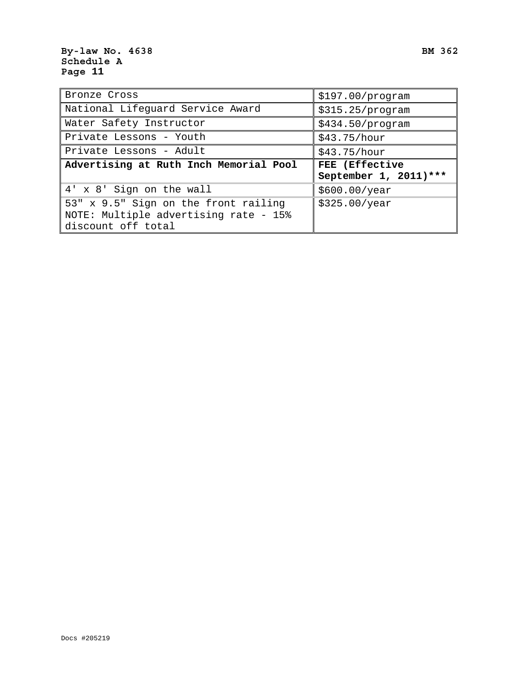| Bronze Cross                           | \$197.00/program      |  |  |
|----------------------------------------|-----------------------|--|--|
| National Lifeguard Service Award       | \$315.25/program      |  |  |
| Water Safety Instructor                | \$434.50/program      |  |  |
| Private Lessons - Youth                | \$43.75/hour          |  |  |
| Private Lessons - Adult                | \$43.75/hour          |  |  |
|                                        |                       |  |  |
| Advertising at Ruth Inch Memorial Pool | FEE (Effective        |  |  |
|                                        | September 1, 2011)*** |  |  |
| 4' x 8' Sign on the wall               | \$600.00/year         |  |  |
| 53" x 9.5" Sign on the front railing   | \$325.00/year         |  |  |
| NOTE: Multiple advertising rate - 15%  |                       |  |  |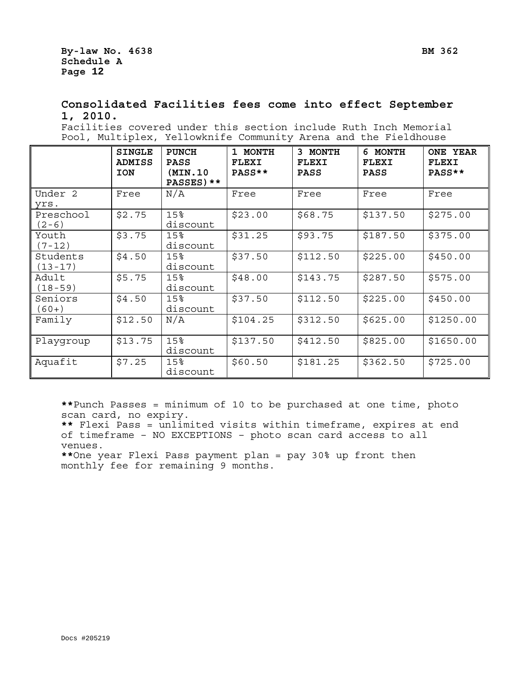# **Consolidated Facilities fees come into effect September 1, 2010.**

Facilities covered under this section include Ruth Inch Memorial Pool, Multiplex, Yellowknife Community Arena and the Fieldhouse

|                         | <b>SINGLE</b><br>ADMISS | <b>PUNCH</b><br><b>PASS</b> | 1 MONTH<br><b>FLEXI</b> | 3 MONTH<br>FLEXI | 6 MONTH<br>FLEXI | ONE YEAR<br>FLEXI |
|-------------------------|-------------------------|-----------------------------|-------------------------|------------------|------------------|-------------------|
|                         | <b>ION</b>              | (MIN.10<br>PASSES) **       | PASS**                  | <b>PASS</b>      | <b>PASS</b>      | PASS**            |
| Under 2<br>yrs.         | Free                    | N/A                         | Free                    | Free             | Free             | Free              |
| Preschool<br>$(2-6)$    | \$2.75                  | 15%<br>discount             | \$23.00                 | \$68.75          | \$137.50         | \$275.00          |
| Youth<br>$(7 - 12)$     | \$3.75                  | 15%<br>discount             | \$31.25                 | \$93.75          | \$187.50         | \$375.00          |
| Students<br>$(13 - 17)$ | \$4.50                  | 15%<br>discount             | \$37.50                 | \$112.50         | \$225.00         | \$450.00          |
| Adult<br>$(18 - 59)$    | \$5.75                  | 15%<br>discount             | \$48.00                 | \$143.75         | \$287.50         | \$575.00          |
| Seniors<br>$(60+)$      | \$4.50                  | 15%<br>discount             | \$37.50                 | \$112.50         | \$225.00         | \$450.00          |
| Family                  | \$12.50                 | N/A                         | \$104.25                | \$312.50         | \$625.00         | \$1250.00         |
| Playgroup               | \$13.75                 | 15%<br>discount             | \$137.50                | \$412.50         | \$825.00         | \$1650.00         |
| Aquafit                 | \$7.25                  | 15%<br>discount             | \$60.50                 | \$181.25         | \$362.50         | \$725.00          |

**\*\***Punch Passes = minimum of 10 to be purchased at one time, photo scan card, no expiry.

**\*\*** Flexi Pass = unlimited visits within timeframe, expires at end of timeframe – NO EXCEPTIONS – photo scan card access to all venues.

**\*\***One year Flexi Pass payment plan = pay 30% up front then monthly fee for remaining 9 months.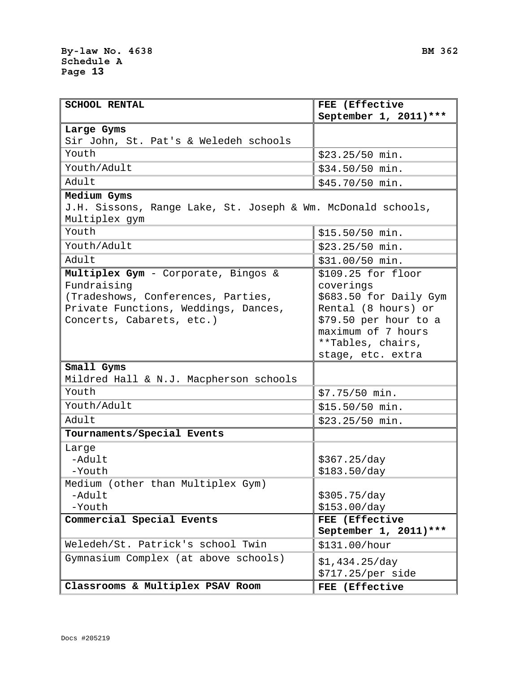| <b>SCHOOL RENTAL</b>                                         | FEE (Effective         |  |  |
|--------------------------------------------------------------|------------------------|--|--|
|                                                              | September 1, 2011)***  |  |  |
| Large Gyms                                                   |                        |  |  |
| Sir John, St. Pat's & Weledeh schools                        |                        |  |  |
| Youth                                                        | \$23.25/50 min.        |  |  |
| Youth/Adult                                                  | \$34.50/50 min.        |  |  |
| Adult                                                        | \$45.70/50 min.        |  |  |
| Medium Gyms                                                  |                        |  |  |
| J.H. Sissons, Range Lake, St. Joseph & Wm. McDonald schools, |                        |  |  |
| Multiplex gym                                                |                        |  |  |
| Youth                                                        | \$15.50/50 min.        |  |  |
| Youth/Adult                                                  | \$23.25/50 min.        |  |  |
| Adult                                                        | \$31.00/50 min.        |  |  |
| Multiplex Gym - Corporate, Bingos &                          | \$109.25 for floor     |  |  |
| Fundraising                                                  | coverings              |  |  |
| (Tradeshows, Conferences, Parties,                           | \$683.50 for Daily Gym |  |  |
| Private Functions, Weddings, Dances,                         | Rental (8 hours) or    |  |  |
| Concerts, Cabarets, etc.)                                    | \$79.50 per hour to a  |  |  |
|                                                              | maximum of 7 hours     |  |  |
|                                                              | **Tables, chairs,      |  |  |
|                                                              | stage, etc. extra      |  |  |
| Small Gyms                                                   |                        |  |  |
| Mildred Hall & N.J. Macpherson schools                       |                        |  |  |
| Youth                                                        | $$7.75/50$ min.        |  |  |
| Youth/Adult                                                  | \$15.50/50 min.        |  |  |
| Adult                                                        | \$23.25/50 min.        |  |  |
| Tournaments/Special Events                                   |                        |  |  |
| Large                                                        |                        |  |  |
| -Adult                                                       | \$367.25/day           |  |  |
| -Youth                                                       | \$183.50/day           |  |  |
| Medium (other than Multiplex Gym)                            |                        |  |  |
| -Adult<br>\$305.75/day                                       |                        |  |  |
| -Youth                                                       | \$153.00/day           |  |  |
| Commercial Special Events                                    | FEE (Effective         |  |  |
|                                                              | September 1, 2011)***  |  |  |
| Weledeh/St. Patrick's school Twin                            | \$131.00/hour          |  |  |
| Gymnasium Complex (at above schools)                         | \$1,434.25/day         |  |  |
|                                                              | \$717.25/per side      |  |  |
| Classrooms & Multiplex PSAV Room                             | FEE (Effective         |  |  |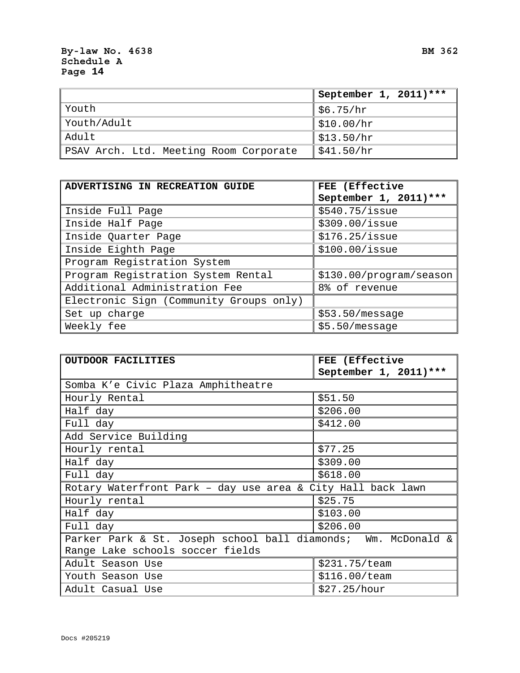|                                        | September 1, 2011)***             |
|----------------------------------------|-----------------------------------|
| Youth                                  | $\frac{156.75}{hr}$               |
| Youth/Adult                            | $\frac{\sin 0.00}{\text{hr}}$     |
| Adult                                  | $\frac{1513.50}{hr}$              |
| PSAV Arch. Ltd. Meeting Room Corporate | $\frac{\sqrt{241.50}}{\text{hr}}$ |

| ADVERTISING IN RECREATION GUIDE         | FEE (Effective          |  |  |
|-----------------------------------------|-------------------------|--|--|
|                                         | September 1, 2011)***   |  |  |
| Inside Full Page                        | \$540.75/issue          |  |  |
| Inside Half Page                        | \$309.00/issue          |  |  |
| Inside Quarter Page                     | \$176.25/issue          |  |  |
| Inside Eighth Page                      | $$100.00/$ issue        |  |  |
| Program Registration System             |                         |  |  |
| Program Registration System Rental      | \$130.00/program/season |  |  |
| Additional Administration Fee           | 8% of revenue           |  |  |
| Electronic Sign (Community Groups only) |                         |  |  |
| Set up charge                           | \$53.50/message         |  |  |
| Weekly fee                              | \$5.50/message          |  |  |

| <b>OUTDOOR FACILITIES</b>                                     | FEE (Effective        |  |  |
|---------------------------------------------------------------|-----------------------|--|--|
|                                                               | September 1, 2011)*** |  |  |
| Somba K'e Civic Plaza Amphitheatre                            |                       |  |  |
| Hourly Rental                                                 | \$51.50               |  |  |
| \$206.00<br>Half day                                          |                       |  |  |
| Full day                                                      | \$412.00              |  |  |
| Add Service Building                                          |                       |  |  |
| Hourly rental                                                 | \$77.25               |  |  |
| Half day                                                      | \$309.00              |  |  |
| Full day                                                      | \$618.00              |  |  |
| Rotary Waterfront Park - day use area & City Hall back lawn   |                       |  |  |
| \$25.75<br>Hourly rental                                      |                       |  |  |
| Half day                                                      | \$103.00              |  |  |
| Full day                                                      | \$206.00              |  |  |
| Parker Park & St. Joseph school ball diamonds; Wm. McDonald & |                       |  |  |
| Range Lake schools soccer fields                              |                       |  |  |
| Adult Season Use                                              | \$231.75/team         |  |  |
| Youth Season Use                                              | \$116.00/team         |  |  |
| Adult Casual Use                                              | \$27.25/hour          |  |  |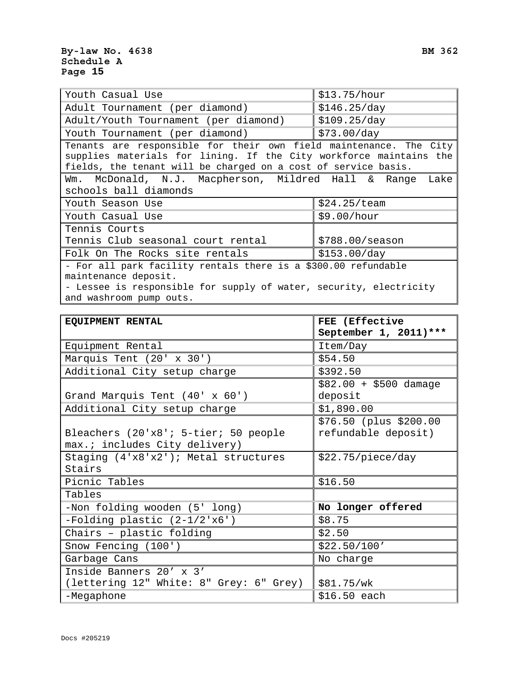| Youth Casual Use                                                                                                                                                                                          | \$13.75/hour         |  |
|-----------------------------------------------------------------------------------------------------------------------------------------------------------------------------------------------------------|----------------------|--|
| Adult Tournament (per diamond)                                                                                                                                                                            | \$146.25/day         |  |
| Adult/Youth Tournament (per diamond)                                                                                                                                                                      | \$109.25/day         |  |
| \$73.00/day<br>Youth Tournament (per diamond)                                                                                                                                                             |                      |  |
| Tenants are responsible for their own field maintenance. The City<br>supplies materials for lining. If the City workforce maintains the<br>fields, the tenant will be charged on a cost of service basis. |                      |  |
| Wm. McDonald, N.J. Macpherson, Mildred Hall & Range Lake<br>schools ball diamonds                                                                                                                         |                      |  |
| Youth Season Use                                                                                                                                                                                          | $$24.25/\text{team}$ |  |
| \$9.00/hour<br>Youth Casual Use                                                                                                                                                                           |                      |  |
| Tennis Courts                                                                                                                                                                                             |                      |  |
| Tennis Club seasonal court rental                                                                                                                                                                         | \$788.00/ season     |  |
| Folk On The Rocks site rentals<br>\$153.00/day                                                                                                                                                            |                      |  |
| - For all park facility rentals there is a \$300.00 refundable<br>maintenance deposit.<br>- Lessee is responsible for supply of water, security, electricity<br>and washroom pump outs.                   |                      |  |

| <b>EQUIPMENT RENTAL</b>                 | FEE (Effective         |
|-----------------------------------------|------------------------|
|                                         | September 1, 2011)***  |
| Equipment Rental                        | Item/Day               |
| Marquis Tent $(20' \times 30')$         | \$54.50                |
|                                         |                        |
| Additional City setup charge            | \$392.50               |
|                                         | $$82.00 + $500$ damage |
| Grand Marquis Tent (40' x 60')          | deposit                |
| Additional City setup charge            | \$1,890.00             |
|                                         | \$76.50 (plus \$200.00 |
| Bleachers (20'x8'; 5-tier; 50 people    | refundable deposit)    |
| max.; includes City delivery)           |                        |
| Staging $(4'x8'x2')$ ; Metal structures | \$22.75/piece/day      |
| Stairs                                  |                        |
| Picnic Tables                           | \$16.50                |
| Tables                                  |                        |
| -Non folding wooden (5' long)           | No longer offered      |
| -Folding plastic $(2-1/2 \cdot x6)$     | \$8.75                 |
| Chairs - plastic folding                | \$2.50                 |
| Snow Fencing (100')                     | \$22.50/100'           |
| Garbage Cans                            | No charge              |
| Inside Banners 20' x 3'                 |                        |
| (lettering 12" White: 8" Grey: 6" Grey) | \$81.75/wk             |
| -Megaphone                              | $$16.50$ each          |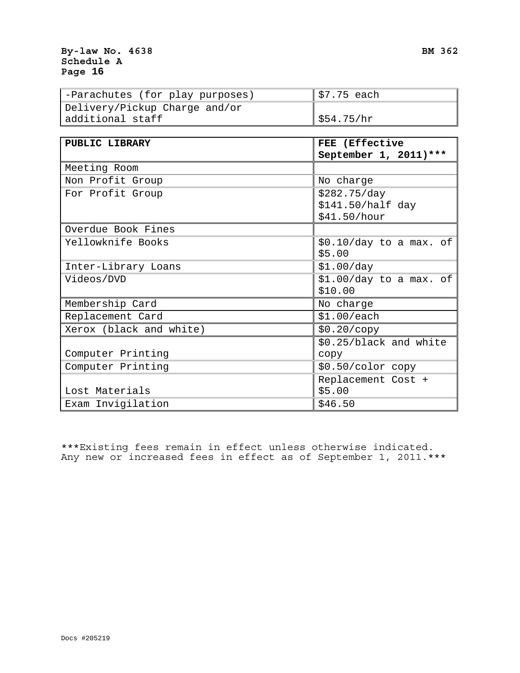| -Parachutes (for play purposes) | $$7.75$ each   |
|---------------------------------|----------------|
| Delivery/Pickup Charge and/or   |                |
| additional staff                | $ $ \$54.75/hr |

| PUBLIC LIBRARY          | FEE (Effective           |
|-------------------------|--------------------------|
|                         | September 1, 2011)***    |
| Meeting Room            |                          |
| Non Profit Group        | No charge                |
| For Profit Group        | \$282.75/day             |
|                         | \$141.50/half day        |
|                         | \$41.50/hour             |
| Overdue Book Fines      |                          |
| Yellowknife Books       | $$0.10/day$ to a max. of |
|                         | \$5.00                   |
| Inter-Library Loans     | \$1.00/day               |
| Videos/DVD              | $$1.00/day$ to a max. of |
|                         | \$10.00                  |
| Membership Card         | No charge                |
| Replacement Card        | \$1.00/each              |
| Xerox (black and white) | \$0.20/copy              |
|                         | \$0.25/black and white   |
| Computer Printing       | copy                     |
| Computer Printing       | $$0.50/color$ copy       |
|                         | Replacement Cost +       |
| Lost Materials          | \$5.00                   |
| Exam Invigilation       | \$46.50                  |

\*\*\*Existing fees remain in effect unless otherwise indicated. Any new or increased fees in effect as of September 1, 2011.\*\*\*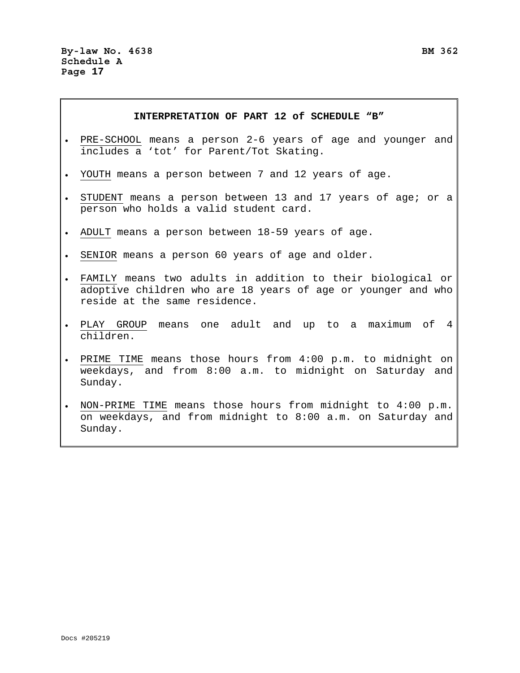#### **INTERPRETATION OF PART 12 of SCHEDULE "B"**

- PRE-SCHOOL means a person 2-6 years of age and younger and includes a 'tot' for Parent/Tot Skating.
- YOUTH means a person between 7 and 12 years of age.
- STUDENT means a person between 13 and 17 years of age; or a person who holds a valid student card.
- ADULT means a person between 18-59 years of age.
- SENIOR means a person 60 years of age and older.
- FAMILY means two adults in addition to their biological or adoptive children who are 18 years of age or younger and who reside at the same residence.
- PLAY GROUP means one adult and up to a maximum of 4 children.
- PRIME TIME means those hours from 4:00 p.m. to midnight on weekdays, and from 8:00 a.m. to midnight on Saturday and Sunday.
- NON-PRIME TIME means those hours from midnight to 4:00 p.m. on weekdays, and from midnight to 8:00 a.m. on Saturday and Sunday.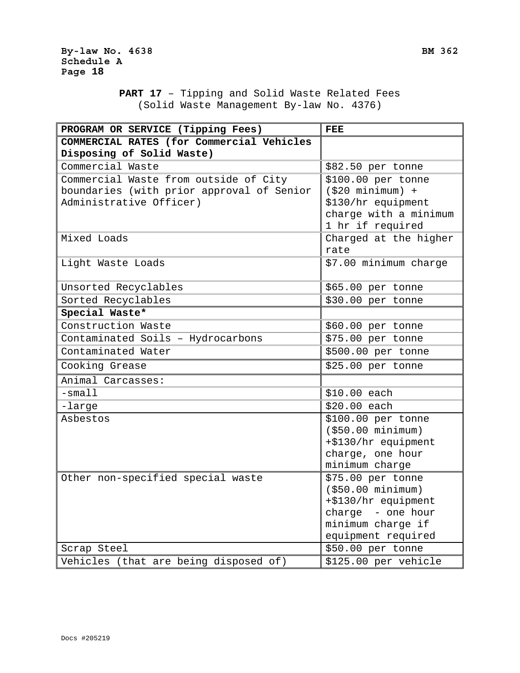> **PART 17** – Tipping and Solid Waste Related Fees (Solid Waste Management By-law No. 4376)

| PROGRAM OR SERVICE (Tipping Fees)         | <b>FEE</b>            |
|-------------------------------------------|-----------------------|
| COMMERCIAL RATES (for Commercial Vehicles |                       |
| Disposing of Solid Waste)                 |                       |
| Commercial Waste                          | \$82.50 per tonne     |
| Commercial Waste from outside of City     | \$100.00 per tonne    |
| boundaries (with prior approval of Senior | $(520$ minimum) +     |
| Administrative Officer)                   | \$130/hr equipment    |
|                                           | charge with a minimum |
|                                           | 1 hr if required      |
| Mixed Loads                               | Charged at the higher |
|                                           | rate                  |
| Light Waste Loads                         | \$7.00 minimum charge |
| Unsorted Recyclables                      | \$65.00 per tonne     |
| Sorted Recyclables                        | \$30.00 per tonne     |
| Special Waste*                            |                       |
| Construction Waste                        | \$60.00 per tonne     |
| Contaminated Soils - Hydrocarbons         | \$75.00 per tonne     |
| Contaminated Water                        | \$500.00 per tonne    |
| Cooking Grease                            | \$25.00 per tonne     |
| Animal Carcasses:                         |                       |
| $-s$ mall                                 | \$10.00 each          |
| -large                                    | \$20.00 each          |
| Asbestos                                  | \$100.00 per tonne    |
|                                           | ( \$50.00 minimum)    |
|                                           | +\$130/hr equipment   |
|                                           | charge, one hour      |
|                                           | minimum charge        |
| Other non-specified special waste         | \$75.00 per tonne     |
|                                           | ( \$50.00 minimum)    |
|                                           | +\$130/hr equipment   |
|                                           | charge - one hour     |
|                                           | minimum charge if     |
|                                           | equipment required    |
| Scrap Steel                               | $$50.00$ per tonne    |
| Vehicles (that are being disposed of)     | \$125.00 per vehicle  |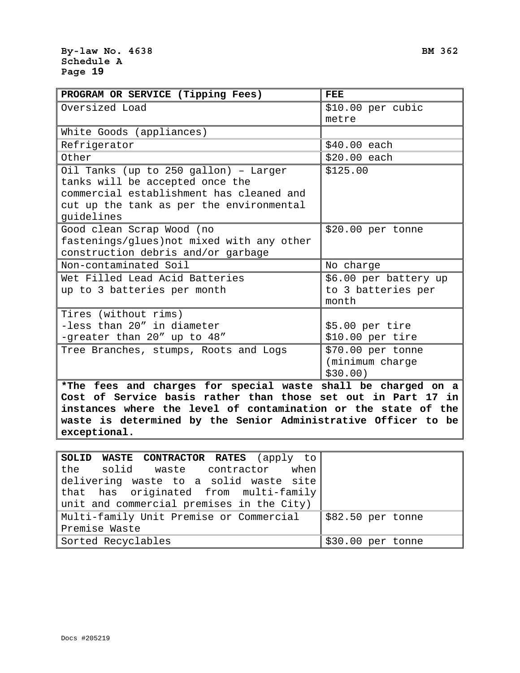| PROGRAM OR SERVICE (Tipping Fees)                                                                                                                                                                | <b>FEE</b>                                           |
|--------------------------------------------------------------------------------------------------------------------------------------------------------------------------------------------------|------------------------------------------------------|
| Oversized Load                                                                                                                                                                                   | \$10.00 per cubic                                    |
|                                                                                                                                                                                                  | metre                                                |
| White Goods (appliances)                                                                                                                                                                         |                                                      |
| Refrigerator                                                                                                                                                                                     | \$40.00 each                                         |
| Other                                                                                                                                                                                            | \$20.00 each                                         |
| Oil Tanks (up to 250 gallon) - Larger<br>tanks will be accepted once the<br>commercial establishment has cleaned and<br>cut up the tank as per the environmental<br>guidelines                   | \$125.00                                             |
| Good clean Scrap Wood (no<br>fastenings/glues) not mixed with any other<br>construction debris and/or garbage                                                                                    | \$20.00 per tonne                                    |
| Non-contaminated Soil                                                                                                                                                                            | No charge                                            |
| Wet Filled Lead Acid Batteries<br>up to 3 batteries per month                                                                                                                                    | \$6.00 per battery up<br>to 3 batteries per<br>month |
| Tires (without rims)<br>-less than 20" in diameter<br>-greater than 20" up to 48"                                                                                                                | \$5.00 per tire<br>\$10.00 per tire                  |
| Tree Branches, stumps, Roots and Logs                                                                                                                                                            | \$70.00 per tonne<br>(minimum charge<br>$$30.00$ )   |
| *The fees and charges for special waste shall be charged on a<br>Cost of Service basis rather than those set out in Part 17 in<br>instances where the level of contamination or the state of the |                                                      |

| SOLID WASTE CONTRACTOR RATES (apply to    |                      |
|-------------------------------------------|----------------------|
| the solid waste contractor when           |                      |
| delivering waste to a solid waste site    |                      |
| that has originated from multi-family     |                      |
| unit and commercial premises in the City) |                      |
| Multi-family Unit Premise or Commercial   | $  $82.50$ per tonne |
| Premise Waste                             |                      |
| Sorted Recyclables                        | $$30.00$ per tonne   |

**waste is determined by the Senior Administrative Officer to be** 

**exceptional.**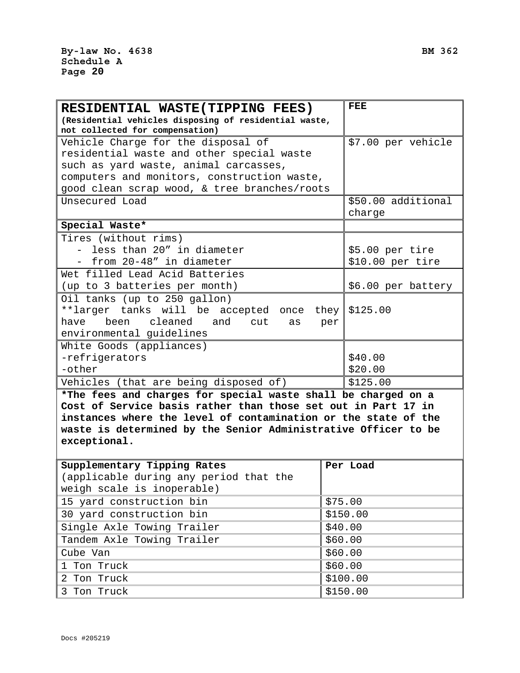r.

| RESIDENTIAL WASTE(TIPPING FEES)                                                          | FEE                |
|------------------------------------------------------------------------------------------|--------------------|
| (Residential vehicles disposing of residential waste,<br>not collected for compensation) |                    |
| Vehicle Charge for the disposal of                                                       | \$7.00 per vehicle |
| residential waste and other special waste                                                |                    |
| such as yard waste, animal carcasses,                                                    |                    |
| computers and monitors, construction waste,                                              |                    |
| good clean scrap wood, & tree branches/roots                                             |                    |
| Unsecured Load                                                                           | \$50.00 additional |
|                                                                                          | charge             |
| Special Waste*                                                                           |                    |
| Tires (without rims)                                                                     |                    |
| - less than 20" in diameter                                                              | \$5.00 per tire    |
| - from 20-48" in diameter                                                                | \$10.00 per tire   |
| Wet filled Lead Acid Batteries                                                           |                    |
| (up to 3 batteries per month)                                                            | \$6.00 per battery |
| Oil tanks (up to 250 gallon)                                                             |                    |
| **larger tanks will be accepted once                                                     | they<br>\$125.00   |
| been<br>cleaned<br>have<br>and<br>cut<br>as                                              | per                |
| environmental guidelines                                                                 |                    |
| White Goods (appliances)                                                                 |                    |
| -refrigerators                                                                           | \$40.00            |
| -other                                                                                   | \$20.00            |
| Vehicles (that are being disposed of)                                                    | \$125.00           |
| *The fees and charges for special waste shall be charged on a                            |                    |
| Cost of Service basis rather than those set out in Part 17 in                            |                    |
| instances where the level of contamination or the state of the                           |                    |
| waste is determined by the Senior Administrative Officer to be                           |                    |
| exceptional.                                                                             |                    |
| Supplementary Tipping Rates                                                              | Per Load           |
| (applicable during any period that the                                                   |                    |
| weigh scale is inoperable)                                                               |                    |
| 15 yard construction bin                                                                 | \$75.00            |
| 30 yard construction bin                                                                 | \$150.00           |
| Single Axle Towing Trailer                                                               | \$40.00            |
| Tandem Axle Towing Trailer                                                               | \$60.00            |
| Cube Van                                                                                 | \$60.00            |
| 1 Ton Truck                                                                              | \$60.00            |
| 2 Ton Truck                                                                              | \$100.00           |
| 3 Ton Truck                                                                              | \$150.00           |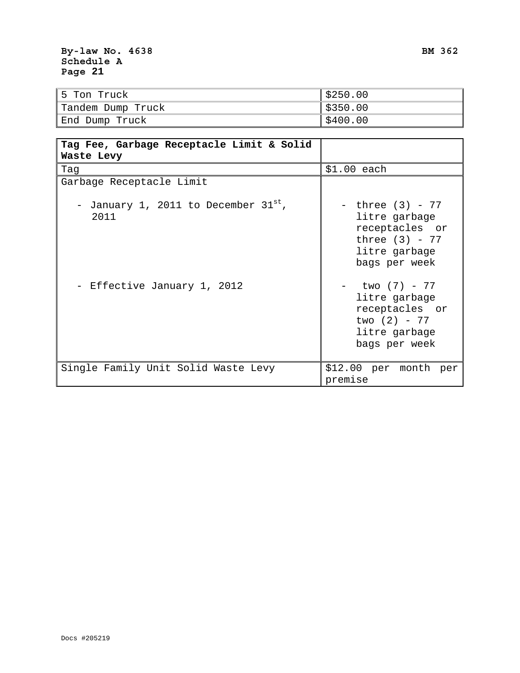| l 5 Ton Truck     | \$250.00 |
|-------------------|----------|
| Tandem Dump Truck | \$350.00 |
| End Dump Truck    | \$400.00 |

| Tag Fee, Garbage Receptacle Limit & Solid<br>Waste Levy |                                                                                                            |
|---------------------------------------------------------|------------------------------------------------------------------------------------------------------------|
| Tag                                                     | $$1.00$ each                                                                                               |
| Garbage Receptacle Limit                                |                                                                                                            |
| - January 1, 2011 to December 31st,<br>2011             | - $three(3) - 77$<br>litre garbage<br>receptacles or<br>three $(3)$ - 77<br>litre garbage<br>bags per week |
| - Effective January 1, 2012                             | two (7) - 77<br>litre garbage<br>receptacles or<br>two $(2) - 77$<br>litre garbage<br>bags per week        |
| Single Family Unit Solid Waste Levy                     | \$12.00 per month per<br>premise                                                                           |